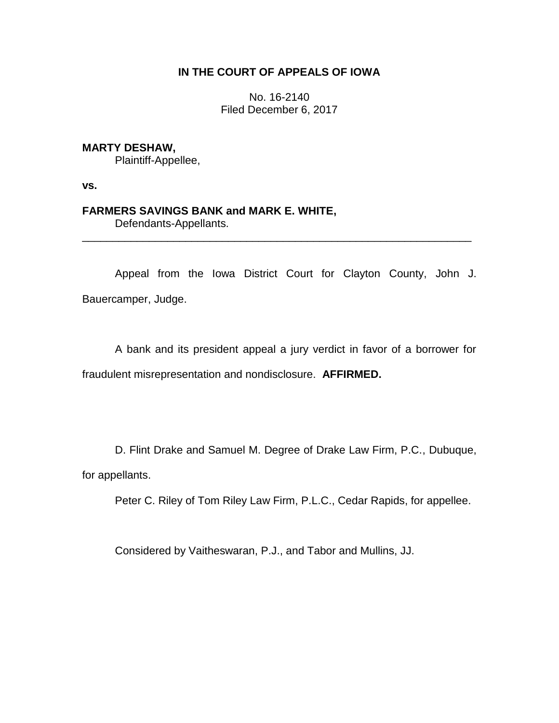## **IN THE COURT OF APPEALS OF IOWA**

No. 16-2140 Filed December 6, 2017

**MARTY DESHAW,**

Plaintiff-Appellee,

**vs.**

# **FARMERS SAVINGS BANK and MARK E. WHITE,**

Defendants-Appellants.

Appeal from the Iowa District Court for Clayton County, John J. Bauercamper, Judge.

\_\_\_\_\_\_\_\_\_\_\_\_\_\_\_\_\_\_\_\_\_\_\_\_\_\_\_\_\_\_\_\_\_\_\_\_\_\_\_\_\_\_\_\_\_\_\_\_\_\_\_\_\_\_\_\_\_\_\_\_\_\_\_\_

A bank and its president appeal a jury verdict in favor of a borrower for fraudulent misrepresentation and nondisclosure. **AFFIRMED.**

D. Flint Drake and Samuel M. Degree of Drake Law Firm, P.C., Dubuque, for appellants.

Peter C. Riley of Tom Riley Law Firm, P.L.C., Cedar Rapids, for appellee.

Considered by Vaitheswaran, P.J., and Tabor and Mullins, JJ.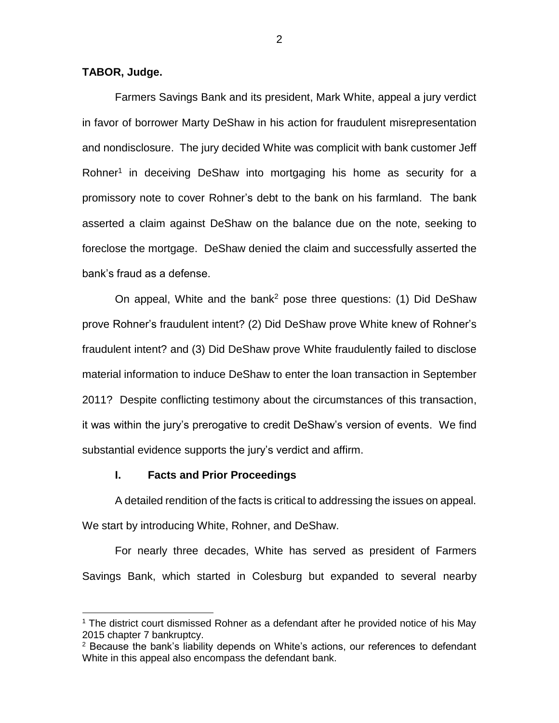### **TABOR, Judge.**

 $\overline{a}$ 

Farmers Savings Bank and its president, Mark White, appeal a jury verdict in favor of borrower Marty DeShaw in his action for fraudulent misrepresentation and nondisclosure. The jury decided White was complicit with bank customer Jeff Rohner<sup>1</sup> in deceiving DeShaw into mortgaging his home as security for a promissory note to cover Rohner's debt to the bank on his farmland. The bank asserted a claim against DeShaw on the balance due on the note, seeking to foreclose the mortgage. DeShaw denied the claim and successfully asserted the bank's fraud as a defense.

On appeal, White and the bank<sup>2</sup> pose three questions: (1) Did DeShaw prove Rohner's fraudulent intent? (2) Did DeShaw prove White knew of Rohner's fraudulent intent? and (3) Did DeShaw prove White fraudulently failed to disclose material information to induce DeShaw to enter the loan transaction in September 2011? Despite conflicting testimony about the circumstances of this transaction, it was within the jury's prerogative to credit DeShaw's version of events. We find substantial evidence supports the jury's verdict and affirm.

### **I. Facts and Prior Proceedings**

A detailed rendition of the facts is critical to addressing the issues on appeal. We start by introducing White, Rohner, and DeShaw.

For nearly three decades, White has served as president of Farmers Savings Bank, which started in Colesburg but expanded to several nearby

<sup>1</sup> The district court dismissed Rohner as a defendant after he provided notice of his May 2015 chapter 7 bankruptcy.

 $2$  Because the bank's liability depends on White's actions, our references to defendant White in this appeal also encompass the defendant bank.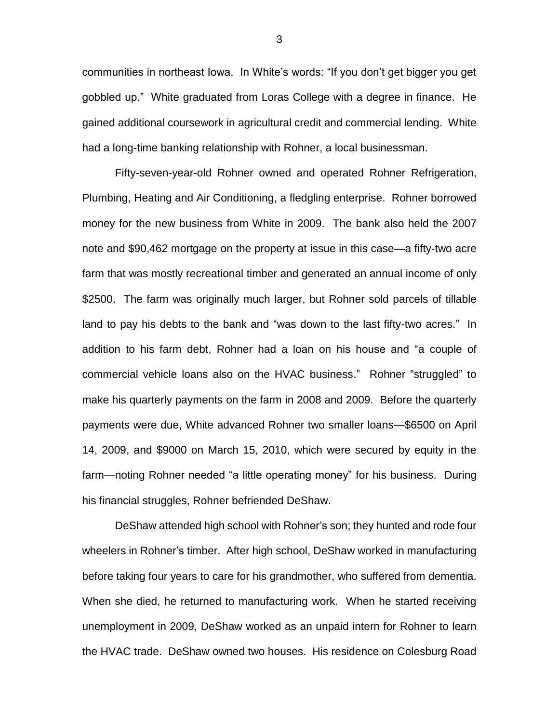communities in northeast Iowa. In White's words: "If you don't get bigger you get gobbled up." White graduated from Loras College with a degree in finance. He gained additional coursework in agricultural credit and commercial lending. White had a long-time banking relationship with Rohner, a local businessman.

Fifty-seven-year-old Rohner owned and operated Rohner Refrigeration, Plumbing, Heating and Air Conditioning, a fledgling enterprise. Rohner borrowed money for the new business from White in 2009. The bank also held the 2007 note and \$90,462 mortgage on the property at issue in this case—a fifty-two acre farm that was mostly recreational timber and generated an annual income of only \$2500. The farm was originally much larger, but Rohner sold parcels of tillable land to pay his debts to the bank and "was down to the last fifty-two acres." In addition to his farm debt, Rohner had a loan on his house and "a couple of commercial vehicle loans also on the HVAC business." Rohner "struggled" to make his quarterly payments on the farm in 2008 and 2009. Before the quarterly payments were due, White advanced Rohner two smaller loans—\$6500 on April 14, 2009, and \$9000 on March 15, 2010, which were secured by equity in the farm—noting Rohner needed "a little operating money" for his business. During his financial struggles, Rohner befriended DeShaw.

DeShaw attended high school with Rohner's son; they hunted and rode four wheelers in Rohner's timber. After high school, DeShaw worked in manufacturing before taking four years to care for his grandmother, who suffered from dementia. When she died, he returned to manufacturing work. When he started receiving unemployment in 2009, DeShaw worked as an unpaid intern for Rohner to learn the HVAC trade. DeShaw owned two houses. His residence on Colesburg Road

3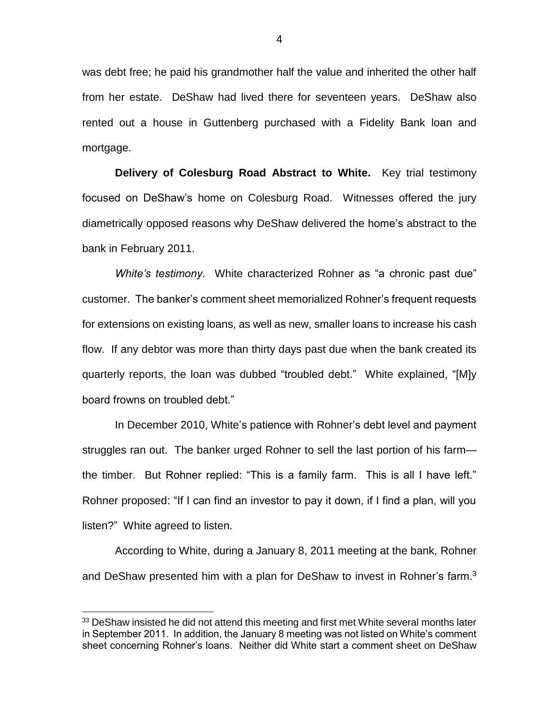was debt free; he paid his grandmother half the value and inherited the other half from her estate. DeShaw had lived there for seventeen years. DeShaw also rented out a house in Guttenberg purchased with a Fidelity Bank loan and mortgage.

**Delivery of Colesburg Road Abstract to White.** Key trial testimony focused on DeShaw's home on Colesburg Road. Witnesses offered the jury diametrically opposed reasons why DeShaw delivered the home's abstract to the bank in February 2011.

*White's testimony.* White characterized Rohner as "a chronic past due" customer. The banker's comment sheet memorialized Rohner's frequent requests for extensions on existing loans, as well as new, smaller loans to increase his cash flow. If any debtor was more than thirty days past due when the bank created its quarterly reports, the loan was dubbed "troubled debt." White explained, "[M]y board frowns on troubled debt."

In December 2010, White's patience with Rohner's debt level and payment struggles ran out. The banker urged Rohner to sell the last portion of his farm the timber. But Rohner replied: "This is a family farm. This is all I have left." Rohner proposed: "If I can find an investor to pay it down, if I find a plan, will you listen?" White agreed to listen.

According to White, during a January 8, 2011 meeting at the bank, Rohner and DeShaw presented him with a plan for DeShaw to invest in Rohner's farm.<sup>3</sup>

 $33$  DeShaw insisted he did not attend this meeting and first met White several months later in September 2011. In addition, the January 8 meeting was not listed on White's comment sheet concerning Rohner's loans. Neither did White start a comment sheet on DeShaw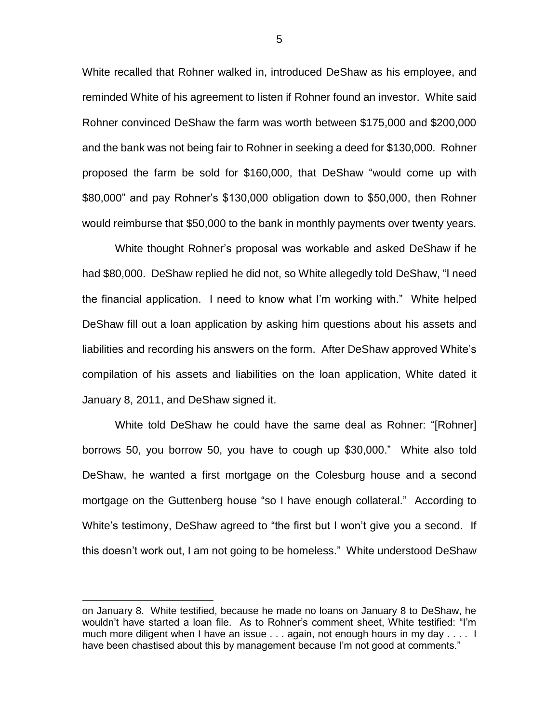White recalled that Rohner walked in, introduced DeShaw as his employee, and reminded White of his agreement to listen if Rohner found an investor. White said Rohner convinced DeShaw the farm was worth between \$175,000 and \$200,000 and the bank was not being fair to Rohner in seeking a deed for \$130,000. Rohner proposed the farm be sold for \$160,000, that DeShaw "would come up with \$80,000" and pay Rohner's \$130,000 obligation down to \$50,000, then Rohner would reimburse that \$50,000 to the bank in monthly payments over twenty years.

White thought Rohner's proposal was workable and asked DeShaw if he had \$80,000. DeShaw replied he did not, so White allegedly told DeShaw, "I need the financial application. I need to know what I'm working with." White helped DeShaw fill out a loan application by asking him questions about his assets and liabilities and recording his answers on the form. After DeShaw approved White's compilation of his assets and liabilities on the loan application, White dated it January 8, 2011, and DeShaw signed it.

White told DeShaw he could have the same deal as Rohner: "[Rohner] borrows 50, you borrow 50, you have to cough up \$30,000." White also told DeShaw, he wanted a first mortgage on the Colesburg house and a second mortgage on the Guttenberg house "so I have enough collateral." According to White's testimony, DeShaw agreed to "the first but I won't give you a second. If this doesn't work out, I am not going to be homeless." White understood DeShaw

on January 8. White testified, because he made no loans on January 8 to DeShaw, he wouldn't have started a loan file. As to Rohner's comment sheet, White testified: "I'm much more diligent when I have an issue . . . again, not enough hours in my day . . . . I have been chastised about this by management because I'm not good at comments."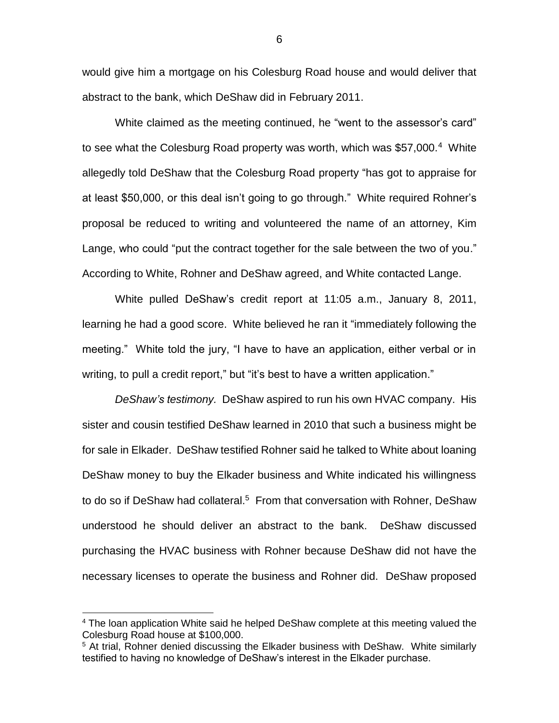would give him a mortgage on his Colesburg Road house and would deliver that abstract to the bank, which DeShaw did in February 2011.

White claimed as the meeting continued, he "went to the assessor's card" to see what the Colesburg Road property was worth, which was \$57,000.<sup>4</sup> White allegedly told DeShaw that the Colesburg Road property "has got to appraise for at least \$50,000, or this deal isn't going to go through." White required Rohner's proposal be reduced to writing and volunteered the name of an attorney, Kim Lange, who could "put the contract together for the sale between the two of you." According to White, Rohner and DeShaw agreed, and White contacted Lange.

White pulled DeShaw's credit report at 11:05 a.m., January 8, 2011, learning he had a good score. White believed he ran it "immediately following the meeting." White told the jury, "I have to have an application, either verbal or in writing, to pull a credit report," but "it's best to have a written application."

*DeShaw's testimony.* DeShaw aspired to run his own HVAC company. His sister and cousin testified DeShaw learned in 2010 that such a business might be for sale in Elkader. DeShaw testified Rohner said he talked to White about loaning DeShaw money to buy the Elkader business and White indicated his willingness to do so if DeShaw had collateral.<sup>5</sup> From that conversation with Rohner, DeShaw understood he should deliver an abstract to the bank. DeShaw discussed purchasing the HVAC business with Rohner because DeShaw did not have the necessary licenses to operate the business and Rohner did. DeShaw proposed

<sup>&</sup>lt;sup>4</sup> The loan application White said he helped DeShaw complete at this meeting valued the Colesburg Road house at \$100,000.

<sup>&</sup>lt;sup>5</sup> At trial, Rohner denied discussing the Elkader business with DeShaw. White similarly testified to having no knowledge of DeShaw's interest in the Elkader purchase.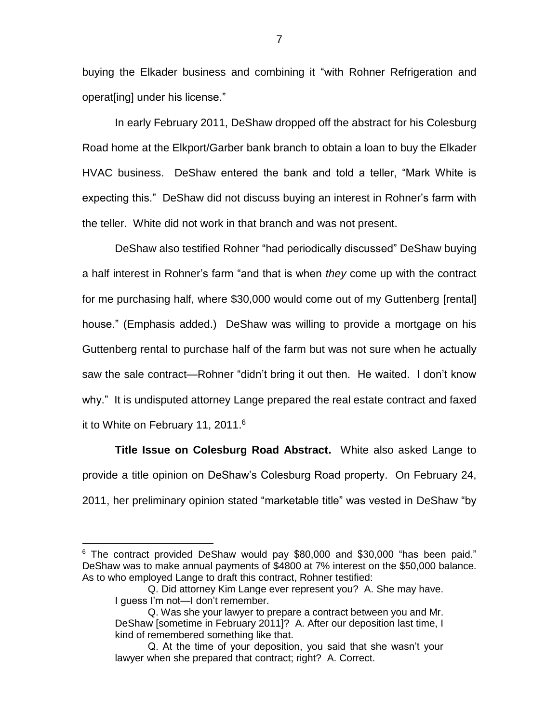buying the Elkader business and combining it "with Rohner Refrigeration and operat[ing] under his license."

In early February 2011, DeShaw dropped off the abstract for his Colesburg Road home at the Elkport/Garber bank branch to obtain a loan to buy the Elkader HVAC business. DeShaw entered the bank and told a teller, "Mark White is expecting this." DeShaw did not discuss buying an interest in Rohner's farm with the teller. White did not work in that branch and was not present.

DeShaw also testified Rohner "had periodically discussed" DeShaw buying a half interest in Rohner's farm "and that is when *they* come up with the contract for me purchasing half, where \$30,000 would come out of my Guttenberg [rental] house." (Emphasis added.) DeShaw was willing to provide a mortgage on his Guttenberg rental to purchase half of the farm but was not sure when he actually saw the sale contract—Rohner "didn't bring it out then. He waited. I don't know why." It is undisputed attorney Lange prepared the real estate contract and faxed it to White on February 11, 2011.<sup>6</sup>

**Title Issue on Colesburg Road Abstract.** White also asked Lange to provide a title opinion on DeShaw's Colesburg Road property. On February 24, 2011, her preliminary opinion stated "marketable title" was vested in DeShaw "by

<sup>6</sup> The contract provided DeShaw would pay \$80,000 and \$30,000 "has been paid." DeShaw was to make annual payments of \$4800 at 7% interest on the \$50,000 balance. As to who employed Lange to draft this contract, Rohner testified:

Q. Did attorney Kim Lange ever represent you? A. She may have. I guess I'm not—I don't remember.

Q. Was she your lawyer to prepare a contract between you and Mr. DeShaw [sometime in February 2011]? A. After our deposition last time, I kind of remembered something like that.

Q. At the time of your deposition, you said that she wasn't your lawyer when she prepared that contract; right? A. Correct.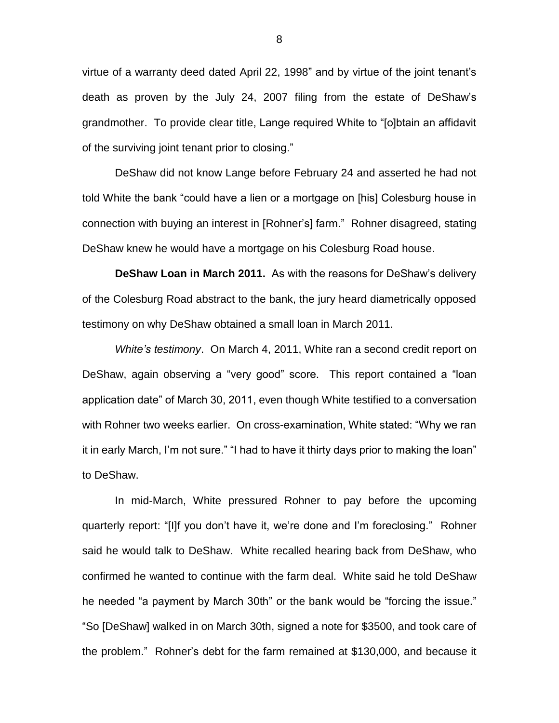virtue of a warranty deed dated April 22, 1998" and by virtue of the joint tenant's death as proven by the July 24, 2007 filing from the estate of DeShaw's grandmother. To provide clear title, Lange required White to "[o]btain an affidavit of the surviving joint tenant prior to closing."

DeShaw did not know Lange before February 24 and asserted he had not told White the bank "could have a lien or a mortgage on [his] Colesburg house in connection with buying an interest in [Rohner's] farm." Rohner disagreed, stating DeShaw knew he would have a mortgage on his Colesburg Road house.

**DeShaw Loan in March 2011.** As with the reasons for DeShaw's delivery of the Colesburg Road abstract to the bank, the jury heard diametrically opposed testimony on why DeShaw obtained a small loan in March 2011.

*White's testimony*. On March 4, 2011, White ran a second credit report on DeShaw, again observing a "very good" score. This report contained a "loan application date" of March 30, 2011, even though White testified to a conversation with Rohner two weeks earlier. On cross-examination, White stated: "Why we ran it in early March, I'm not sure." "I had to have it thirty days prior to making the loan" to DeShaw.

In mid-March, White pressured Rohner to pay before the upcoming quarterly report: "[I]f you don't have it, we're done and I'm foreclosing." Rohner said he would talk to DeShaw. White recalled hearing back from DeShaw, who confirmed he wanted to continue with the farm deal. White said he told DeShaw he needed "a payment by March 30th" or the bank would be "forcing the issue." "So [DeShaw] walked in on March 30th, signed a note for \$3500, and took care of the problem." Rohner's debt for the farm remained at \$130,000, and because it

8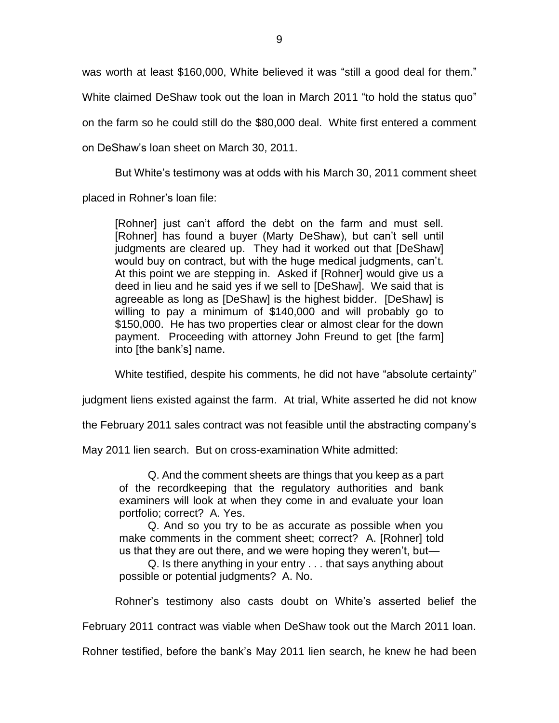was worth at least \$160,000, White believed it was "still a good deal for them." White claimed DeShaw took out the loan in March 2011 "to hold the status quo" on the farm so he could still do the \$80,000 deal. White first entered a comment on DeShaw's loan sheet on March 30, 2011.

But White's testimony was at odds with his March 30, 2011 comment sheet

placed in Rohner's loan file:

[Rohner] just can't afford the debt on the farm and must sell. [Rohner] has found a buyer (Marty DeShaw), but can't sell until judgments are cleared up. They had it worked out that [DeShaw] would buy on contract, but with the huge medical judgments, can't. At this point we are stepping in. Asked if [Rohner] would give us a deed in lieu and he said yes if we sell to [DeShaw]. We said that is agreeable as long as [DeShaw] is the highest bidder. [DeShaw] is willing to pay a minimum of \$140,000 and will probably go to \$150,000. He has two properties clear or almost clear for the down payment. Proceeding with attorney John Freund to get [the farm] into [the bank's] name.

White testified, despite his comments, he did not have "absolute certainty"

judgment liens existed against the farm. At trial, White asserted he did not know

the February 2011 sales contract was not feasible until the abstracting company's

May 2011 lien search. But on cross-examination White admitted:

Q. And the comment sheets are things that you keep as a part of the recordkeeping that the regulatory authorities and bank examiners will look at when they come in and evaluate your loan portfolio; correct? A. Yes.

Q. And so you try to be as accurate as possible when you make comments in the comment sheet; correct? A. [Rohner] told us that they are out there, and we were hoping they weren't, but—

Q. Is there anything in your entry . . . that says anything about possible or potential judgments? A. No.

Rohner's testimony also casts doubt on White's asserted belief the

February 2011 contract was viable when DeShaw took out the March 2011 loan.

Rohner testified, before the bank's May 2011 lien search, he knew he had been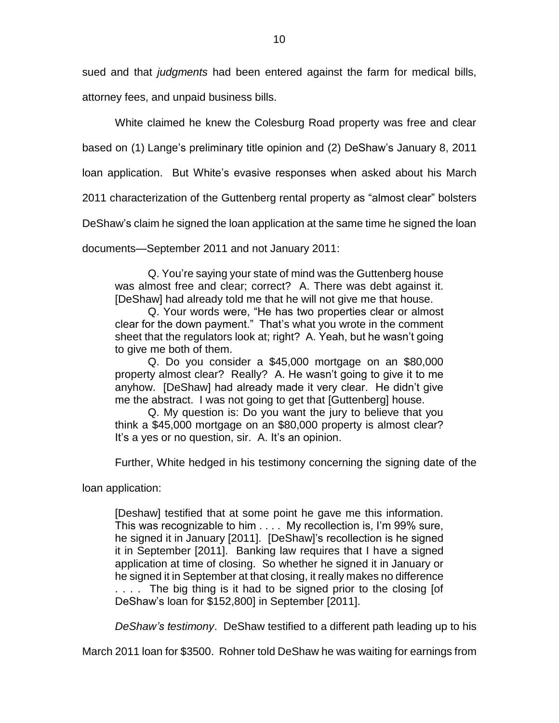sued and that *judgments* had been entered against the farm for medical bills,

attorney fees, and unpaid business bills.

White claimed he knew the Colesburg Road property was free and clear

based on (1) Lange's preliminary title opinion and (2) DeShaw's January 8, 2011

loan application. But White's evasive responses when asked about his March

2011 characterization of the Guttenberg rental property as "almost clear" bolsters

DeShaw's claim he signed the loan application at the same time he signed the loan

documents—September 2011 and not January 2011:

Q. You're saying your state of mind was the Guttenberg house was almost free and clear; correct? A. There was debt against it. [DeShaw] had already told me that he will not give me that house.

Q. Your words were, "He has two properties clear or almost clear for the down payment." That's what you wrote in the comment sheet that the regulators look at; right? A. Yeah, but he wasn't going to give me both of them.

Q. Do you consider a \$45,000 mortgage on an \$80,000 property almost clear? Really? A. He wasn't going to give it to me anyhow. [DeShaw] had already made it very clear. He didn't give me the abstract. I was not going to get that [Guttenberg] house.

Q. My question is: Do you want the jury to believe that you think a \$45,000 mortgage on an \$80,000 property is almost clear? It's a yes or no question, sir. A. It's an opinion.

Further, White hedged in his testimony concerning the signing date of the

loan application:

[Deshaw] testified that at some point he gave me this information. This was recognizable to him . . . . My recollection is, I'm 99% sure, he signed it in January [2011]. [DeShaw]'s recollection is he signed it in September [2011]. Banking law requires that I have a signed application at time of closing. So whether he signed it in January or he signed it in September at that closing, it really makes no difference .... The big thing is it had to be signed prior to the closing [of DeShaw's loan for \$152,800] in September [2011].

*DeShaw's testimony*. DeShaw testified to a different path leading up to his

March 2011 loan for \$3500. Rohner told DeShaw he was waiting for earnings from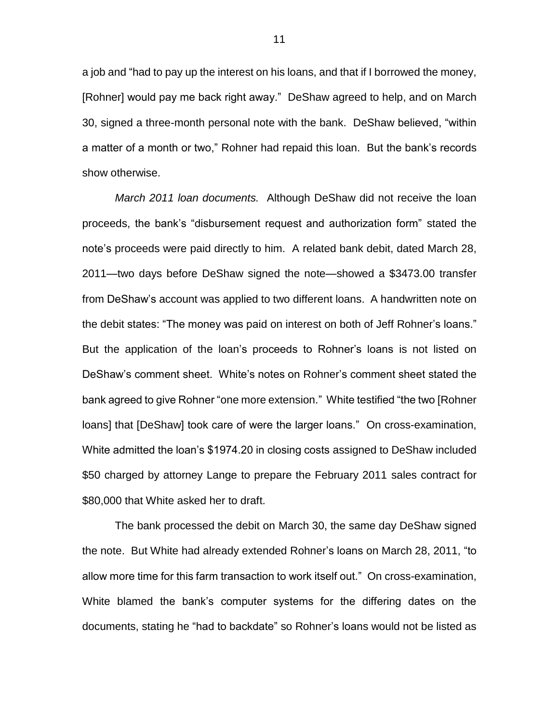a job and "had to pay up the interest on his loans, and that if I borrowed the money, [Rohner] would pay me back right away." DeShaw agreed to help, and on March 30, signed a three-month personal note with the bank. DeShaw believed, "within a matter of a month or two," Rohner had repaid this loan. But the bank's records show otherwise.

*March 2011 loan documents.* Although DeShaw did not receive the loan proceeds, the bank's "disbursement request and authorization form" stated the note's proceeds were paid directly to him. A related bank debit, dated March 28, 2011—two days before DeShaw signed the note—showed a \$3473.00 transfer from DeShaw's account was applied to two different loans. A handwritten note on the debit states: "The money was paid on interest on both of Jeff Rohner's loans." But the application of the loan's proceeds to Rohner's loans is not listed on DeShaw's comment sheet. White's notes on Rohner's comment sheet stated the bank agreed to give Rohner "one more extension." White testified "the two [Rohner loans] that [DeShaw] took care of were the larger loans." On cross-examination, White admitted the loan's \$1974.20 in closing costs assigned to DeShaw included \$50 charged by attorney Lange to prepare the February 2011 sales contract for \$80,000 that White asked her to draft.

The bank processed the debit on March 30, the same day DeShaw signed the note. But White had already extended Rohner's loans on March 28, 2011, "to allow more time for this farm transaction to work itself out." On cross-examination, White blamed the bank's computer systems for the differing dates on the documents, stating he "had to backdate" so Rohner's loans would not be listed as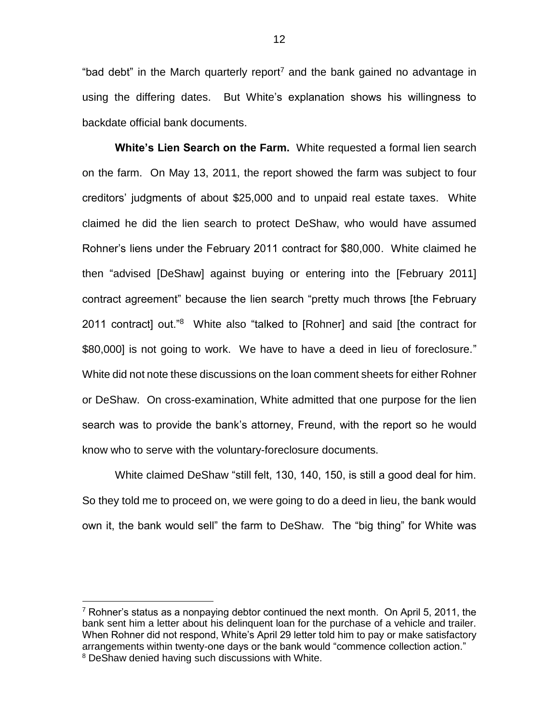"bad debt" in the March quarterly report<sup>7</sup> and the bank gained no advantage in using the differing dates. But White's explanation shows his willingness to backdate official bank documents.

**White's Lien Search on the Farm.** White requested a formal lien search on the farm. On May 13, 2011, the report showed the farm was subject to four creditors' judgments of about \$25,000 and to unpaid real estate taxes. White claimed he did the lien search to protect DeShaw, who would have assumed Rohner's liens under the February 2011 contract for \$80,000. White claimed he then "advised [DeShaw] against buying or entering into the [February 2011] contract agreement" because the lien search "pretty much throws [the February 2011 contract] out."<sup>8</sup> White also "talked to [Rohner] and said [the contract for \$80,000] is not going to work. We have to have a deed in lieu of foreclosure." White did not note these discussions on the loan comment sheets for either Rohner or DeShaw. On cross-examination, White admitted that one purpose for the lien search was to provide the bank's attorney, Freund, with the report so he would know who to serve with the voluntary-foreclosure documents.

White claimed DeShaw "still felt, 130, 140, 150, is still a good deal for him. So they told me to proceed on, we were going to do a deed in lieu, the bank would own it, the bank would sell" the farm to DeShaw. The "big thing" for White was

 $7$  Rohner's status as a nonpaying debtor continued the next month. On April 5, 2011, the bank sent him a letter about his delinquent loan for the purchase of a vehicle and trailer. When Rohner did not respond, White's April 29 letter told him to pay or make satisfactory arrangements within twenty-one days or the bank would "commence collection action." <sup>8</sup> DeShaw denied having such discussions with White.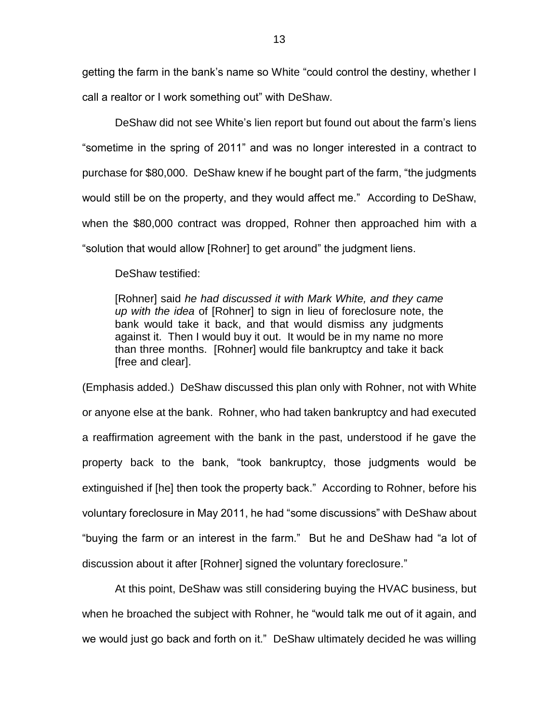getting the farm in the bank's name so White "could control the destiny, whether I call a realtor or I work something out" with DeShaw.

DeShaw did not see White's lien report but found out about the farm's liens "sometime in the spring of 2011" and was no longer interested in a contract to purchase for \$80,000. DeShaw knew if he bought part of the farm, "the judgments would still be on the property, and they would affect me." According to DeShaw, when the \$80,000 contract was dropped, Rohner then approached him with a "solution that would allow [Rohner] to get around" the judgment liens.

DeShaw testified:

[Rohner] said *he had discussed it with Mark White, and they came up with the idea* of [Rohner] to sign in lieu of foreclosure note, the bank would take it back, and that would dismiss any judgments against it. Then I would buy it out. It would be in my name no more than three months. [Rohner] would file bankruptcy and take it back [free and clear].

(Emphasis added.) DeShaw discussed this plan only with Rohner, not with White or anyone else at the bank. Rohner, who had taken bankruptcy and had executed a reaffirmation agreement with the bank in the past, understood if he gave the property back to the bank, "took bankruptcy, those judgments would be extinguished if [he] then took the property back." According to Rohner, before his voluntary foreclosure in May 2011, he had "some discussions" with DeShaw about "buying the farm or an interest in the farm." But he and DeShaw had "a lot of discussion about it after [Rohner] signed the voluntary foreclosure."

At this point, DeShaw was still considering buying the HVAC business, but when he broached the subject with Rohner, he "would talk me out of it again, and we would just go back and forth on it." DeShaw ultimately decided he was willing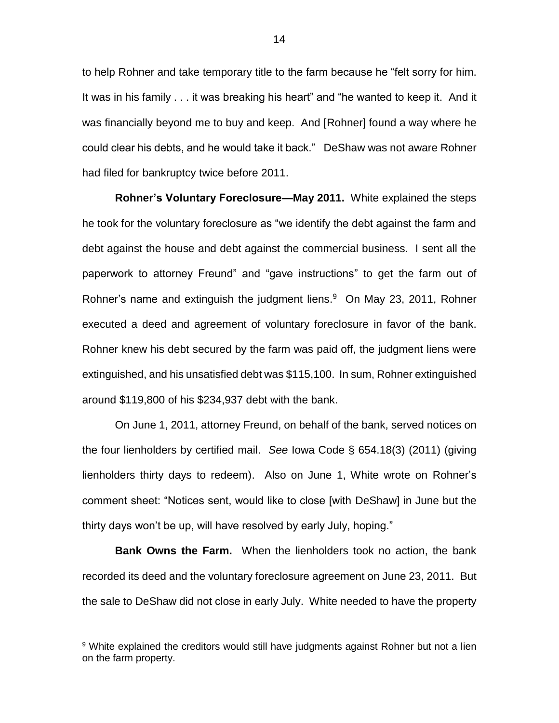to help Rohner and take temporary title to the farm because he "felt sorry for him. It was in his family . . . it was breaking his heart" and "he wanted to keep it. And it was financially beyond me to buy and keep. And [Rohner] found a way where he could clear his debts, and he would take it back." DeShaw was not aware Rohner had filed for bankruptcy twice before 2011.

**Rohner's Voluntary Foreclosure—May 2011.** White explained the steps he took for the voluntary foreclosure as "we identify the debt against the farm and debt against the house and debt against the commercial business. I sent all the paperwork to attorney Freund" and "gave instructions" to get the farm out of Rohner's name and extinguish the judgment liens.<sup>9</sup> On May 23, 2011, Rohner executed a deed and agreement of voluntary foreclosure in favor of the bank. Rohner knew his debt secured by the farm was paid off, the judgment liens were extinguished, and his unsatisfied debt was \$115,100. In sum, Rohner extinguished around \$119,800 of his \$234,937 debt with the bank.

On June 1, 2011, attorney Freund, on behalf of the bank, served notices on the four lienholders by certified mail. *See* Iowa Code § 654.18(3) (2011) (giving lienholders thirty days to redeem). Also on June 1, White wrote on Rohner's comment sheet: "Notices sent, would like to close [with DeShaw] in June but the thirty days won't be up, will have resolved by early July, hoping."

**Bank Owns the Farm.** When the lienholders took no action, the bank recorded its deed and the voluntary foreclosure agreement on June 23, 2011. But the sale to DeShaw did not close in early July. White needed to have the property

<sup>&</sup>lt;sup>9</sup> White explained the creditors would still have judgments against Rohner but not a lien on the farm property.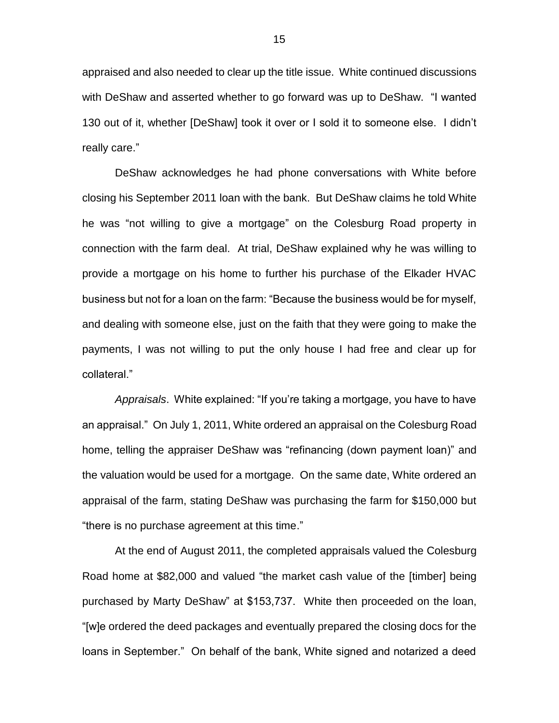appraised and also needed to clear up the title issue. White continued discussions with DeShaw and asserted whether to go forward was up to DeShaw. "I wanted 130 out of it, whether [DeShaw] took it over or I sold it to someone else. I didn't really care."

DeShaw acknowledges he had phone conversations with White before closing his September 2011 loan with the bank. But DeShaw claims he told White he was "not willing to give a mortgage" on the Colesburg Road property in connection with the farm deal. At trial, DeShaw explained why he was willing to provide a mortgage on his home to further his purchase of the Elkader HVAC business but not for a loan on the farm: "Because the business would be for myself, and dealing with someone else, just on the faith that they were going to make the payments, I was not willing to put the only house I had free and clear up for collateral."

*Appraisals*. White explained: "If you're taking a mortgage, you have to have an appraisal." On July 1, 2011, White ordered an appraisal on the Colesburg Road home, telling the appraiser DeShaw was "refinancing (down payment loan)" and the valuation would be used for a mortgage. On the same date, White ordered an appraisal of the farm, stating DeShaw was purchasing the farm for \$150,000 but "there is no purchase agreement at this time."

At the end of August 2011, the completed appraisals valued the Colesburg Road home at \$82,000 and valued "the market cash value of the [timber] being purchased by Marty DeShaw" at \$153,737. White then proceeded on the loan, "[w]e ordered the deed packages and eventually prepared the closing docs for the loans in September." On behalf of the bank, White signed and notarized a deed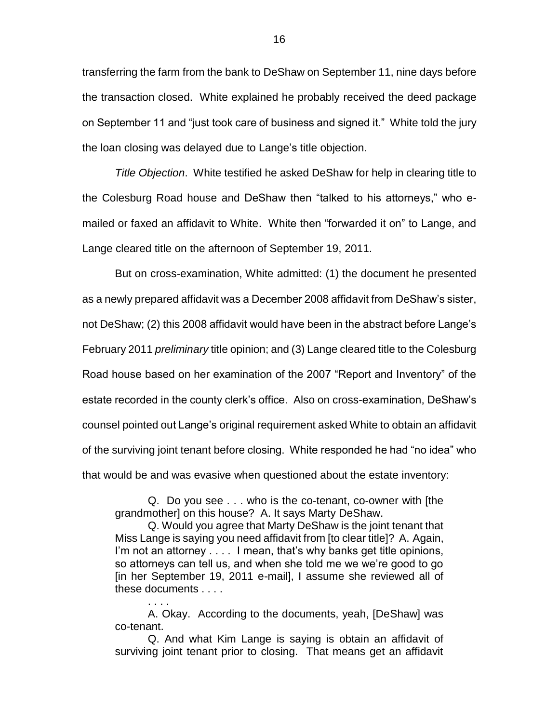transferring the farm from the bank to DeShaw on September 11, nine days before the transaction closed. White explained he probably received the deed package on September 11 and "just took care of business and signed it." White told the jury the loan closing was delayed due to Lange's title objection.

*Title Objection*. White testified he asked DeShaw for help in clearing title to the Colesburg Road house and DeShaw then "talked to his attorneys," who emailed or faxed an affidavit to White. White then "forwarded it on" to Lange, and Lange cleared title on the afternoon of September 19, 2011.

But on cross-examination, White admitted: (1) the document he presented as a newly prepared affidavit was a December 2008 affidavit from DeShaw's sister, not DeShaw; (2) this 2008 affidavit would have been in the abstract before Lange's February 2011 *preliminary* title opinion; and (3) Lange cleared title to the Colesburg Road house based on her examination of the 2007 "Report and Inventory" of the estate recorded in the county clerk's office. Also on cross-examination, DeShaw's counsel pointed out Lange's original requirement asked White to obtain an affidavit of the surviving joint tenant before closing. White responded he had "no idea" who that would be and was evasive when questioned about the estate inventory:

Q. Do you see . . . who is the co-tenant, co-owner with [the grandmother] on this house? A. It says Marty DeShaw.

Q. Would you agree that Marty DeShaw is the joint tenant that Miss Lange is saying you need affidavit from [to clear title]? A. Again, I'm not an attorney . . . . I mean, that's why banks get title opinions, so attorneys can tell us, and when she told me we we're good to go [in her September 19, 2011 e-mail], I assume she reviewed all of these documents . . . .

A. Okay. According to the documents, yeah, [DeShaw] was co-tenant.

. . . .

Q. And what Kim Lange is saying is obtain an affidavit of surviving joint tenant prior to closing. That means get an affidavit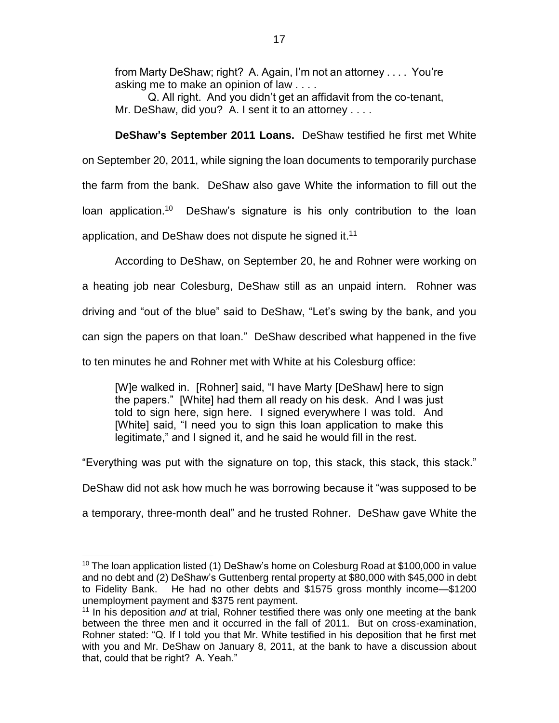from Marty DeShaw; right? A. Again, I'm not an attorney . . . . You're asking me to make an opinion of law . . . .

Q. All right. And you didn't get an affidavit from the co-tenant, Mr. DeShaw, did you? A. I sent it to an attorney . . . .

**DeShaw's September 2011 Loans.** DeShaw testified he first met White on September 20, 2011, while signing the loan documents to temporarily purchase the farm from the bank. DeShaw also gave White the information to fill out the loan application.<sup>10</sup> DeShaw's signature is his only contribution to the loan application, and DeShaw does not dispute he signed it.<sup>11</sup>

According to DeShaw, on September 20, he and Rohner were working on

a heating job near Colesburg, DeShaw still as an unpaid intern. Rohner was

driving and "out of the blue" said to DeShaw, "Let's swing by the bank, and you

can sign the papers on that loan." DeShaw described what happened in the five

to ten minutes he and Rohner met with White at his Colesburg office:

[W]e walked in. [Rohner] said, "I have Marty [DeShaw] here to sign the papers." [White] had them all ready on his desk. And I was just told to sign here, sign here. I signed everywhere I was told. And [White] said, "I need you to sign this loan application to make this legitimate," and I signed it, and he said he would fill in the rest.

"Everything was put with the signature on top, this stack, this stack, this stack."

DeShaw did not ask how much he was borrowing because it "was supposed to be

a temporary, three-month deal" and he trusted Rohner. DeShaw gave White the

 $\overline{a}$  $10$  The loan application listed (1) DeShaw's home on Colesburg Road at \$100,000 in value and no debt and (2) DeShaw's Guttenberg rental property at \$80,000 with \$45,000 in debt to Fidelity Bank. He had no other debts and \$1575 gross monthly income—\$1200 unemployment payment and \$375 rent payment.

<sup>11</sup> In his deposition *and* at trial, Rohner testified there was only one meeting at the bank between the three men and it occurred in the fall of 2011. But on cross-examination, Rohner stated: "Q. If I told you that Mr. White testified in his deposition that he first met with you and Mr. DeShaw on January 8, 2011, at the bank to have a discussion about that, could that be right? A. Yeah."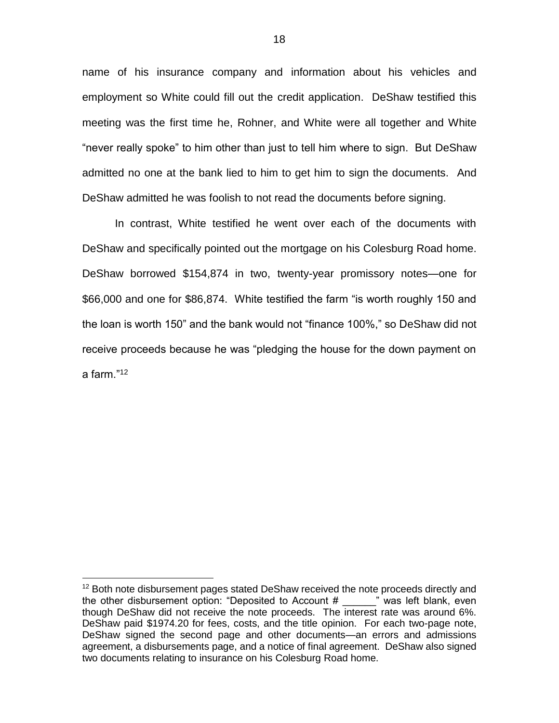name of his insurance company and information about his vehicles and employment so White could fill out the credit application. DeShaw testified this meeting was the first time he, Rohner, and White were all together and White "never really spoke" to him other than just to tell him where to sign. But DeShaw admitted no one at the bank lied to him to get him to sign the documents. And DeShaw admitted he was foolish to not read the documents before signing.

In contrast, White testified he went over each of the documents with DeShaw and specifically pointed out the mortgage on his Colesburg Road home. DeShaw borrowed \$154,874 in two, twenty-year promissory notes—one for \$66,000 and one for \$86,874. White testified the farm "is worth roughly 150 and the loan is worth 150" and the bank would not "finance 100%," so DeShaw did not receive proceeds because he was "pledging the house for the down payment on a farm."<sup>12</sup>

 $12$  Both note disbursement pages stated DeShaw received the note proceeds directly and the other disbursement option: "Deposited to Account  $\#$   $\qquad$  " was left blank, even though DeShaw did not receive the note proceeds. The interest rate was around 6%. DeShaw paid \$1974.20 for fees, costs, and the title opinion. For each two-page note, DeShaw signed the second page and other documents—an errors and admissions agreement, a disbursements page, and a notice of final agreement. DeShaw also signed two documents relating to insurance on his Colesburg Road home.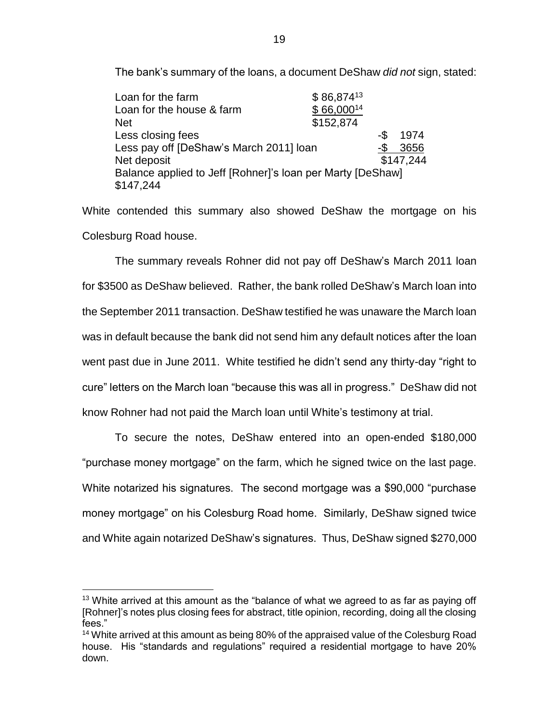The bank's summary of the loans, a document DeShaw *did not* sign, stated:

| Loan for the farm                                          | \$86,87413     |     |           |
|------------------------------------------------------------|----------------|-----|-----------|
| Loan for the house & farm                                  | $$66,000^{14}$ |     |           |
| <b>Net</b>                                                 | \$152,874      |     |           |
| Less closing fees                                          |                | -\$ | 1974      |
| Less pay off [DeShaw's March 2011] loan                    |                | -\$ | 3656      |
| Net deposit                                                |                |     | \$147,244 |
| Balance applied to Jeff [Rohner]'s loan per Marty [DeShaw] |                |     |           |
| \$147,244                                                  |                |     |           |

White contended this summary also showed DeShaw the mortgage on his Colesburg Road house.

The summary reveals Rohner did not pay off DeShaw's March 2011 loan for \$3500 as DeShaw believed. Rather, the bank rolled DeShaw's March loan into the September 2011 transaction. DeShaw testified he was unaware the March loan was in default because the bank did not send him any default notices after the loan went past due in June 2011. White testified he didn't send any thirty-day "right to cure" letters on the March loan "because this was all in progress." DeShaw did not know Rohner had not paid the March loan until White's testimony at trial.

To secure the notes, DeShaw entered into an open-ended \$180,000 "purchase money mortgage" on the farm, which he signed twice on the last page. White notarized his signatures. The second mortgage was a \$90,000 "purchase money mortgage" on his Colesburg Road home. Similarly, DeShaw signed twice and White again notarized DeShaw's signatures. Thus, DeShaw signed \$270,000

 $13$  White arrived at this amount as the "balance of what we agreed to as far as paying off [Rohner]'s notes plus closing fees for abstract, title opinion, recording, doing all the closing fees."

<sup>&</sup>lt;sup>14</sup> White arrived at this amount as being 80% of the appraised value of the Colesburg Road house. His "standards and regulations" required a residential mortgage to have 20% down.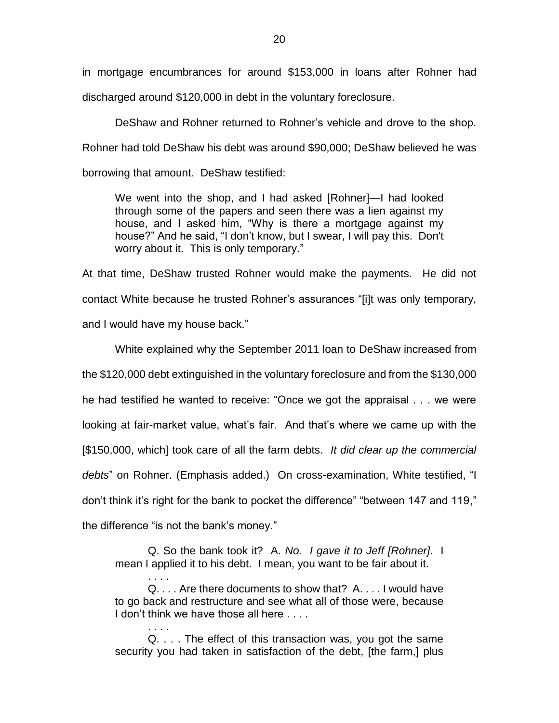in mortgage encumbrances for around \$153,000 in loans after Rohner had discharged around \$120,000 in debt in the voluntary foreclosure.

DeShaw and Rohner returned to Rohner's vehicle and drove to the shop. Rohner had told DeShaw his debt was around \$90,000; DeShaw believed he was borrowing that amount. DeShaw testified:

We went into the shop, and I had asked [Rohner]—I had looked through some of the papers and seen there was a lien against my house, and I asked him, "Why is there a mortgage against my house?" And he said, "I don't know, but I swear, I will pay this. Don't worry about it. This is only temporary."

At that time, DeShaw trusted Rohner would make the payments. He did not contact White because he trusted Rohner's assurances "[i]t was only temporary, and I would have my house back."

White explained why the September 2011 loan to DeShaw increased from the \$120,000 debt extinguished in the voluntary foreclosure and from the \$130,000 he had testified he wanted to receive: "Once we got the appraisal . . . we were looking at fair-market value, what's fair. And that's where we came up with the [\$150,000, which] took care of all the farm debts. *It did clear up the commercial debts*" on Rohner. (Emphasis added.) On cross-examination, White testified, "I don't think it's right for the bank to pocket the difference" "between 147 and 119," the difference "is not the bank's money."

Q. So the bank took it? A. *No. I gave it to Jeff [Rohner]*. I mean I applied it to his debt. I mean, you want to be fair about it.

. . . . Q. . . . Are there documents to show that? A. . . . I would have to go back and restructure and see what all of those were, because I don't think we have those all here ....

. . . . Q. . . . The effect of this transaction was, you got the same security you had taken in satisfaction of the debt, [the farm,] plus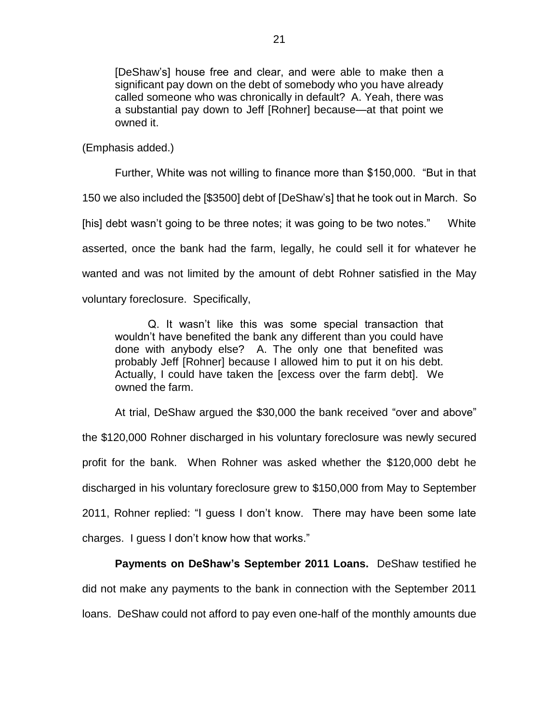[DeShaw's] house free and clear, and were able to make then a significant pay down on the debt of somebody who you have already called someone who was chronically in default? A. Yeah, there was a substantial pay down to Jeff [Rohner] because—at that point we owned it.

(Emphasis added.)

Further, White was not willing to finance more than \$150,000. "But in that 150 we also included the [\$3500] debt of [DeShaw's] that he took out in March. So [his] debt wasn't going to be three notes; it was going to be two notes." White asserted, once the bank had the farm, legally, he could sell it for whatever he wanted and was not limited by the amount of debt Rohner satisfied in the May voluntary foreclosure. Specifically,

Q. It wasn't like this was some special transaction that wouldn't have benefited the bank any different than you could have done with anybody else? A. The only one that benefited was probably Jeff [Rohner] because I allowed him to put it on his debt. Actually, I could have taken the [excess over the farm debt]. We owned the farm.

At trial, DeShaw argued the \$30,000 the bank received "over and above" the \$120,000 Rohner discharged in his voluntary foreclosure was newly secured profit for the bank. When Rohner was asked whether the \$120,000 debt he discharged in his voluntary foreclosure grew to \$150,000 from May to September 2011, Rohner replied: "I guess I don't know. There may have been some late charges. I guess I don't know how that works."

**Payments on DeShaw's September 2011 Loans.** DeShaw testified he did not make any payments to the bank in connection with the September 2011 loans. DeShaw could not afford to pay even one-half of the monthly amounts due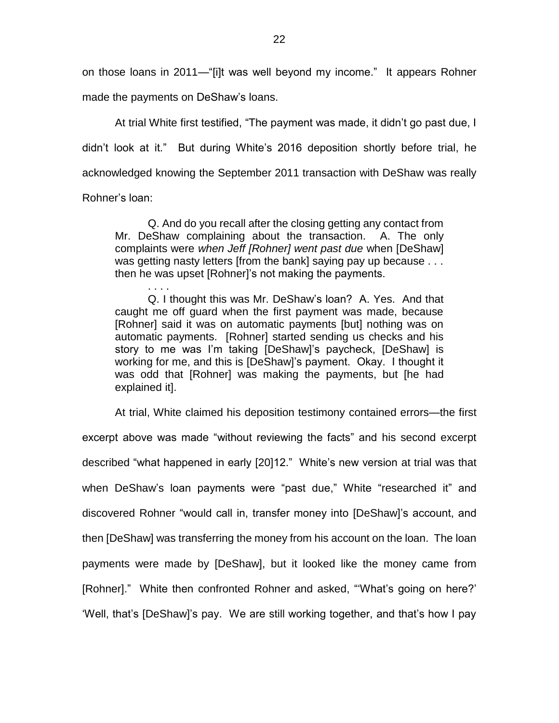on those loans in 2011—"[i]t was well beyond my income." It appears Rohner made the payments on DeShaw's loans.

At trial White first testified, "The payment was made, it didn't go past due, I didn't look at it." But during White's 2016 deposition shortly before trial, he acknowledged knowing the September 2011 transaction with DeShaw was really

Rohner's loan:

Q. And do you recall after the closing getting any contact from Mr. DeShaw complaining about the transaction. A. The only complaints were *when Jeff [Rohner] went past due* when [DeShaw] was getting nasty letters [from the bank] saying pay up because . . . then he was upset [Rohner]'s not making the payments.

. . . . Q. I thought this was Mr. DeShaw's loan? A. Yes. And that caught me off guard when the first payment was made, because [Rohner] said it was on automatic payments [but] nothing was on automatic payments. [Rohner] started sending us checks and his story to me was I'm taking [DeShaw]'s paycheck, [DeShaw] is working for me, and this is [DeShaw]'s payment. Okay. I thought it was odd that [Rohner] was making the payments, but [he had explained it].

At trial, White claimed his deposition testimony contained errors—the first excerpt above was made "without reviewing the facts" and his second excerpt described "what happened in early [20]12." White's new version at trial was that when DeShaw's loan payments were "past due," White "researched it" and discovered Rohner "would call in, transfer money into [DeShaw]'s account, and then [DeShaw] was transferring the money from his account on the loan. The loan payments were made by [DeShaw], but it looked like the money came from [Rohner]." White then confronted Rohner and asked, "What's going on here?' 'Well, that's [DeShaw]'s pay. We are still working together, and that's how I pay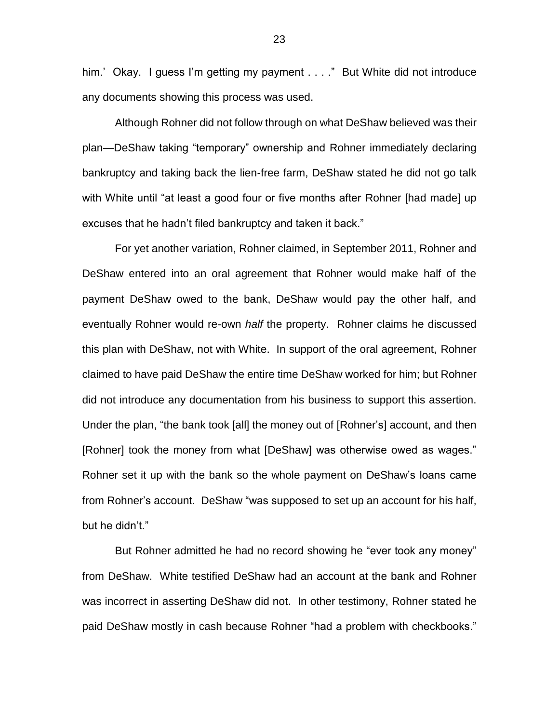him.' Okay. I guess I'm getting my payment . . . ." But White did not introduce any documents showing this process was used.

Although Rohner did not follow through on what DeShaw believed was their plan—DeShaw taking "temporary" ownership and Rohner immediately declaring bankruptcy and taking back the lien-free farm, DeShaw stated he did not go talk with White until "at least a good four or five months after Rohner [had made] up excuses that he hadn't filed bankruptcy and taken it back."

For yet another variation, Rohner claimed, in September 2011, Rohner and DeShaw entered into an oral agreement that Rohner would make half of the payment DeShaw owed to the bank, DeShaw would pay the other half, and eventually Rohner would re-own *half* the property. Rohner claims he discussed this plan with DeShaw, not with White. In support of the oral agreement, Rohner claimed to have paid DeShaw the entire time DeShaw worked for him; but Rohner did not introduce any documentation from his business to support this assertion. Under the plan, "the bank took [all] the money out of [Rohner's] account, and then [Rohner] took the money from what [DeShaw] was otherwise owed as wages." Rohner set it up with the bank so the whole payment on DeShaw's loans came from Rohner's account. DeShaw "was supposed to set up an account for his half, but he didn't."

But Rohner admitted he had no record showing he "ever took any money" from DeShaw. White testified DeShaw had an account at the bank and Rohner was incorrect in asserting DeShaw did not. In other testimony, Rohner stated he paid DeShaw mostly in cash because Rohner "had a problem with checkbooks."

23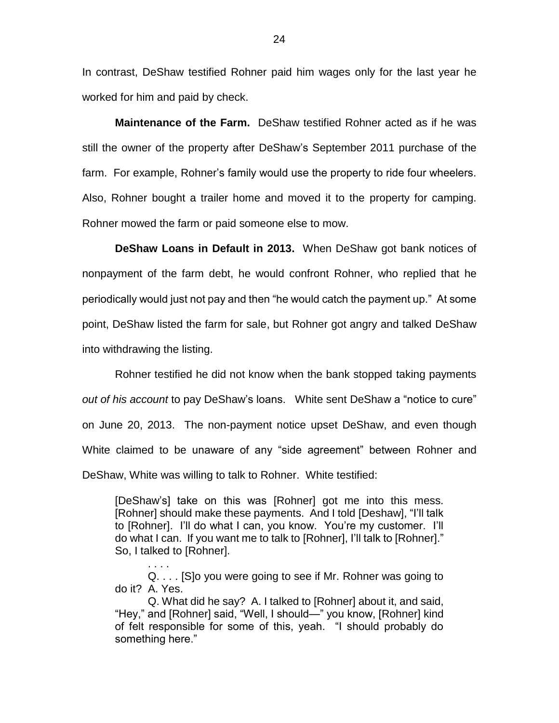In contrast, DeShaw testified Rohner paid him wages only for the last year he worked for him and paid by check.

**Maintenance of the Farm.** DeShaw testified Rohner acted as if he was still the owner of the property after DeShaw's September 2011 purchase of the farm. For example, Rohner's family would use the property to ride four wheelers. Also, Rohner bought a trailer home and moved it to the property for camping. Rohner mowed the farm or paid someone else to mow.

**DeShaw Loans in Default in 2013.** When DeShaw got bank notices of nonpayment of the farm debt, he would confront Rohner, who replied that he periodically would just not pay and then "he would catch the payment up." At some point, DeShaw listed the farm for sale, but Rohner got angry and talked DeShaw into withdrawing the listing.

Rohner testified he did not know when the bank stopped taking payments *out of his account* to pay DeShaw's loans. White sent DeShaw a "notice to cure" on June 20, 2013. The non-payment notice upset DeShaw, and even though White claimed to be unaware of any "side agreement" between Rohner and DeShaw, White was willing to talk to Rohner. White testified:

[DeShaw's] take on this was [Rohner] got me into this mess. [Rohner] should make these payments. And I told [Deshaw], "I'll talk to [Rohner]. I'll do what I can, you know. You're my customer. I'll do what I can. If you want me to talk to [Rohner], I'll talk to [Rohner]." So, I talked to [Rohner].

Q. . . . [S]o you were going to see if Mr. Rohner was going to do it? A. Yes.

. . . .

Q. What did he say? A. I talked to [Rohner] about it, and said, "Hey," and [Rohner] said, "Well, I should—" you know, [Rohner] kind of felt responsible for some of this, yeah. "I should probably do something here."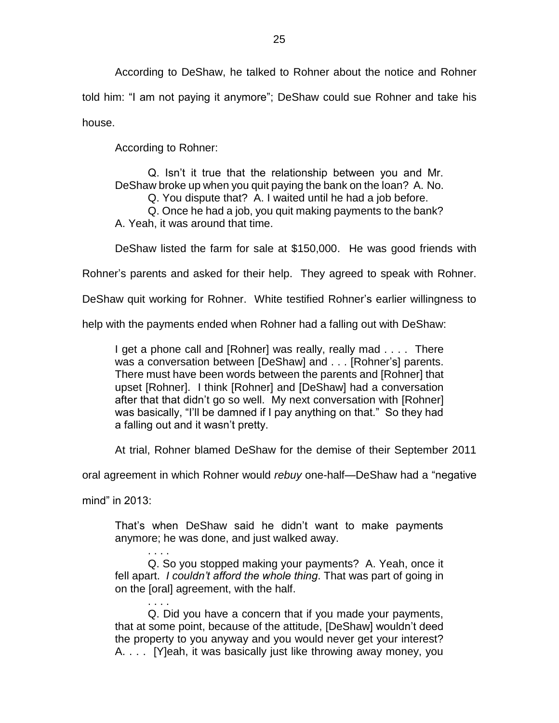According to DeShaw, he talked to Rohner about the notice and Rohner told him: "I am not paying it anymore"; DeShaw could sue Rohner and take his house.

According to Rohner:

Q. Isn't it true that the relationship between you and Mr. DeShaw broke up when you quit paying the bank on the loan? A. No. Q. You dispute that? A. I waited until he had a job before. Q. Once he had a job, you quit making payments to the bank? A. Yeah, it was around that time.

DeShaw listed the farm for sale at \$150,000. He was good friends with

Rohner's parents and asked for their help. They agreed to speak with Rohner.

DeShaw quit working for Rohner. White testified Rohner's earlier willingness to

help with the payments ended when Rohner had a falling out with DeShaw:

I get a phone call and [Rohner] was really, really mad . . . . There was a conversation between [DeShaw] and . . . [Rohner's] parents. There must have been words between the parents and [Rohner] that upset [Rohner]. I think [Rohner] and [DeShaw] had a conversation after that that didn't go so well. My next conversation with [Rohner] was basically, "I'll be damned if I pay anything on that." So they had a falling out and it wasn't pretty.

At trial, Rohner blamed DeShaw for the demise of their September 2011

oral agreement in which Rohner would *rebuy* one-half—DeShaw had a "negative

mind" in 2013:

That's when DeShaw said he didn't want to make payments anymore; he was done, and just walked away.

. . . . Q. So you stopped making your payments? A. Yeah, once it fell apart. *I couldn't afford the whole thing*. That was part of going in on the [oral] agreement, with the half.

. . . . Q. Did you have a concern that if you made your payments, that at some point, because of the attitude, [DeShaw] wouldn't deed the property to you anyway and you would never get your interest? A. . . . [Y]eah, it was basically just like throwing away money, you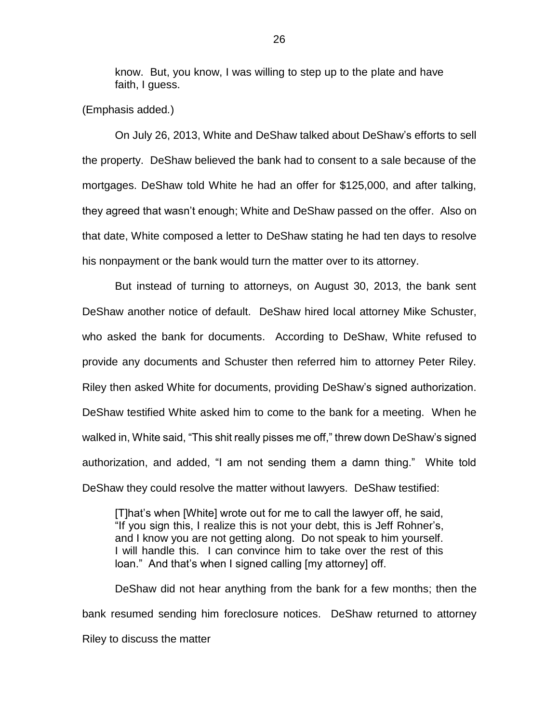know. But, you know, I was willing to step up to the plate and have faith, I guess.

(Emphasis added*.*)

On July 26, 2013, White and DeShaw talked about DeShaw's efforts to sell the property. DeShaw believed the bank had to consent to a sale because of the mortgages. DeShaw told White he had an offer for \$125,000, and after talking, they agreed that wasn't enough; White and DeShaw passed on the offer. Also on that date, White composed a letter to DeShaw stating he had ten days to resolve his nonpayment or the bank would turn the matter over to its attorney.

But instead of turning to attorneys, on August 30, 2013, the bank sent DeShaw another notice of default. DeShaw hired local attorney Mike Schuster, who asked the bank for documents. According to DeShaw, White refused to provide any documents and Schuster then referred him to attorney Peter Riley. Riley then asked White for documents, providing DeShaw's signed authorization. DeShaw testified White asked him to come to the bank for a meeting. When he walked in, White said, "This shit really pisses me off," threw down DeShaw's signed authorization, and added, "I am not sending them a damn thing." White told DeShaw they could resolve the matter without lawyers. DeShaw testified:

[T]hat's when [White] wrote out for me to call the lawyer off, he said, "If you sign this, I realize this is not your debt, this is Jeff Rohner's, and I know you are not getting along. Do not speak to him yourself. I will handle this. I can convince him to take over the rest of this loan." And that's when I signed calling [my attorney] off.

DeShaw did not hear anything from the bank for a few months; then the bank resumed sending him foreclosure notices. DeShaw returned to attorney Riley to discuss the matter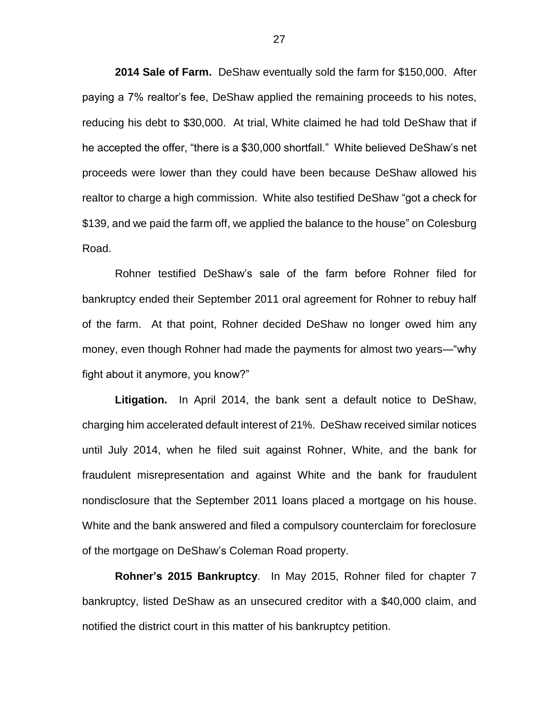**2014 Sale of Farm.** DeShaw eventually sold the farm for \$150,000. After paying a 7% realtor's fee, DeShaw applied the remaining proceeds to his notes, reducing his debt to \$30,000. At trial, White claimed he had told DeShaw that if he accepted the offer, "there is a \$30,000 shortfall." White believed DeShaw's net proceeds were lower than they could have been because DeShaw allowed his realtor to charge a high commission. White also testified DeShaw "got a check for \$139, and we paid the farm off, we applied the balance to the house" on Colesburg Road.

Rohner testified DeShaw's sale of the farm before Rohner filed for bankruptcy ended their September 2011 oral agreement for Rohner to rebuy half of the farm. At that point, Rohner decided DeShaw no longer owed him any money, even though Rohner had made the payments for almost two years—"why fight about it anymore, you know?"

**Litigation.** In April 2014, the bank sent a default notice to DeShaw, charging him accelerated default interest of 21%. DeShaw received similar notices until July 2014, when he filed suit against Rohner, White, and the bank for fraudulent misrepresentation and against White and the bank for fraudulent nondisclosure that the September 2011 loans placed a mortgage on his house. White and the bank answered and filed a compulsory counterclaim for foreclosure of the mortgage on DeShaw's Coleman Road property.

**Rohner's 2015 Bankruptcy**. In May 2015, Rohner filed for chapter 7 bankruptcy, listed DeShaw as an unsecured creditor with a \$40,000 claim, and notified the district court in this matter of his bankruptcy petition.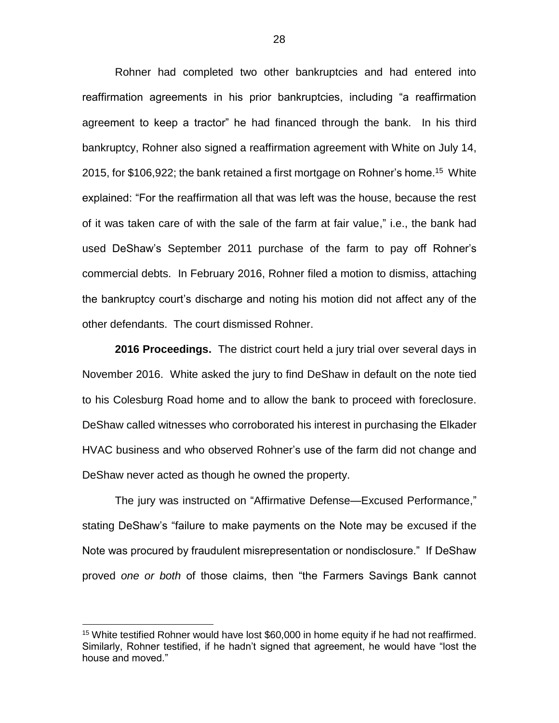Rohner had completed two other bankruptcies and had entered into reaffirmation agreements in his prior bankruptcies, including "a reaffirmation agreement to keep a tractor" he had financed through the bank. In his third bankruptcy, Rohner also signed a reaffirmation agreement with White on July 14, 2015, for \$106,922; the bank retained a first mortgage on Rohner's home.<sup>15</sup> White explained: "For the reaffirmation all that was left was the house, because the rest of it was taken care of with the sale of the farm at fair value," i.e., the bank had used DeShaw's September 2011 purchase of the farm to pay off Rohner's commercial debts. In February 2016, Rohner filed a motion to dismiss, attaching the bankruptcy court's discharge and noting his motion did not affect any of the other defendants. The court dismissed Rohner.

**2016 Proceedings.** The district court held a jury trial over several days in November 2016. White asked the jury to find DeShaw in default on the note tied to his Colesburg Road home and to allow the bank to proceed with foreclosure. DeShaw called witnesses who corroborated his interest in purchasing the Elkader HVAC business and who observed Rohner's use of the farm did not change and DeShaw never acted as though he owned the property.

The jury was instructed on "Affirmative Defense—Excused Performance," stating DeShaw's "failure to make payments on the Note may be excused if the Note was procured by fraudulent misrepresentation or nondisclosure." If DeShaw proved *one or both* of those claims, then "the Farmers Savings Bank cannot

<sup>&</sup>lt;sup>15</sup> White testified Rohner would have lost \$60,000 in home equity if he had not reaffirmed. Similarly, Rohner testified, if he hadn't signed that agreement, he would have "lost the house and moved."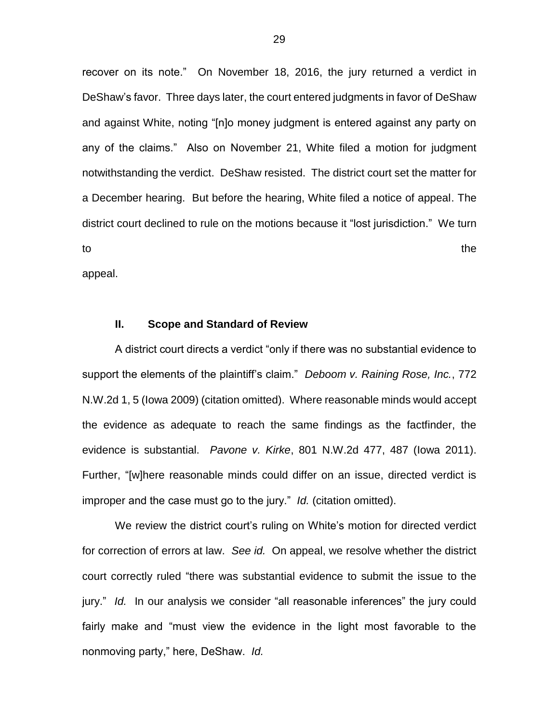recover on its note." On November 18, 2016, the jury returned a verdict in DeShaw's favor. Three days later, the court entered judgments in favor of DeShaw and against White, noting "[n]o money judgment is entered against any party on any of the claims." Also on November 21, White filed a motion for judgment notwithstanding the verdict. DeShaw resisted. The district court set the matter for a December hearing. But before the hearing, White filed a notice of appeal. The district court declined to rule on the motions because it "lost jurisdiction." We turn to the state of the state of the state of the state of the state of the state of the state of the state of the appeal.

#### **II. Scope and Standard of Review**

A district court directs a verdict "only if there was no substantial evidence to support the elements of the plaintiff's claim." *Deboom v. Raining Rose, Inc.*, 772 N.W.2d 1, 5 (Iowa 2009) (citation omitted). Where reasonable minds would accept the evidence as adequate to reach the same findings as the factfinder, the evidence is substantial. *Pavone v. Kirke*, 801 N.W.2d 477, 487 (Iowa 2011). Further, "[w]here reasonable minds could differ on an issue, directed verdict is improper and the case must go to the jury." *Id.* (citation omitted).

We review the district court's ruling on White's motion for directed verdict for correction of errors at law. *See id.* On appeal, we resolve whether the district court correctly ruled "there was substantial evidence to submit the issue to the jury." *Id.* In our analysis we consider "all reasonable inferences" the jury could fairly make and "must view the evidence in the light most favorable to the nonmoving party," here, DeShaw. *Id.*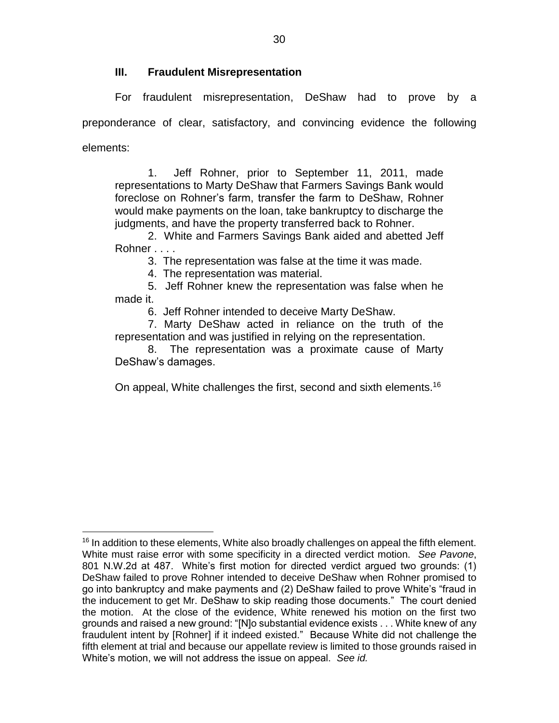## **III. Fraudulent Misrepresentation**

For fraudulent misrepresentation, DeShaw had to prove by a preponderance of clear, satisfactory, and convincing evidence the following elements:

1. Jeff Rohner, prior to September 11, 2011, made representations to Marty DeShaw that Farmers Savings Bank would foreclose on Rohner's farm, transfer the farm to DeShaw, Rohner would make payments on the loan, take bankruptcy to discharge the judgments, and have the property transferred back to Rohner.

2. White and Farmers Savings Bank aided and abetted Jeff Rohner . . . .

3. The representation was false at the time it was made.

4. The representation was material.

5. Jeff Rohner knew the representation was false when he made it.

6. Jeff Rohner intended to deceive Marty DeShaw.

7. Marty DeShaw acted in reliance on the truth of the representation and was justified in relying on the representation.

8. The representation was a proximate cause of Marty DeShaw's damages.

On appeal, White challenges the first, second and sixth elements.<sup>16</sup>

 $\overline{a}$  $16$  In addition to these elements, White also broadly challenges on appeal the fifth element. White must raise error with some specificity in a directed verdict motion. *See Pavone*, 801 N.W.2d at 487. White's first motion for directed verdict argued two grounds: (1) DeShaw failed to prove Rohner intended to deceive DeShaw when Rohner promised to go into bankruptcy and make payments and (2) DeShaw failed to prove White's "fraud in the inducement to get Mr. DeShaw to skip reading those documents." The court denied the motion. At the close of the evidence, White renewed his motion on the first two grounds and raised a new ground: "[N]o substantial evidence exists . . . White knew of any fraudulent intent by [Rohner] if it indeed existed." Because White did not challenge the fifth element at trial and because our appellate review is limited to those grounds raised in White's motion, we will not address the issue on appeal. *See id.*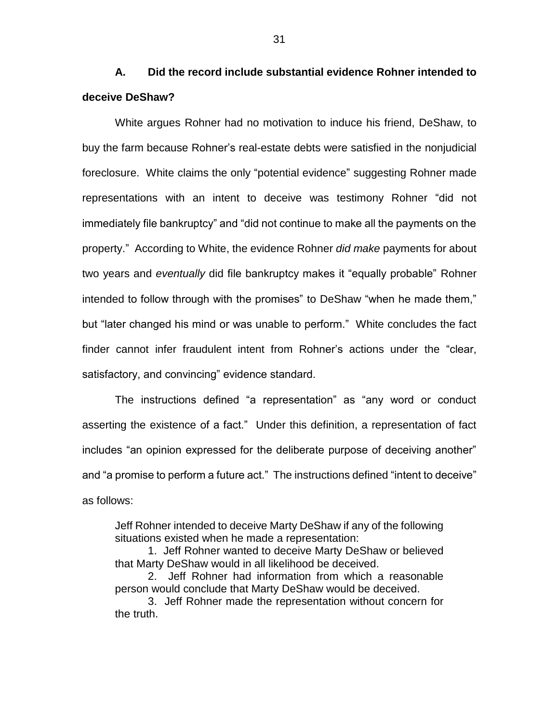**A. Did the record include substantial evidence Rohner intended to deceive DeShaw?**

White argues Rohner had no motivation to induce his friend, DeShaw, to buy the farm because Rohner's real-estate debts were satisfied in the nonjudicial foreclosure. White claims the only "potential evidence" suggesting Rohner made representations with an intent to deceive was testimony Rohner "did not immediately file bankruptcy" and "did not continue to make all the payments on the property." According to White, the evidence Rohner *did make* payments for about two years and *eventually* did file bankruptcy makes it "equally probable" Rohner intended to follow through with the promises" to DeShaw "when he made them," but "later changed his mind or was unable to perform." White concludes the fact finder cannot infer fraudulent intent from Rohner's actions under the "clear, satisfactory, and convincing" evidence standard.

The instructions defined "a representation" as "any word or conduct asserting the existence of a fact." Under this definition, a representation of fact includes "an opinion expressed for the deliberate purpose of deceiving another" and "a promise to perform a future act." The instructions defined "intent to deceive" as follows:

Jeff Rohner intended to deceive Marty DeShaw if any of the following situations existed when he made a representation:

1. Jeff Rohner wanted to deceive Marty DeShaw or believed that Marty DeShaw would in all likelihood be deceived.

2. Jeff Rohner had information from which a reasonable person would conclude that Marty DeShaw would be deceived.

3. Jeff Rohner made the representation without concern for the truth.

31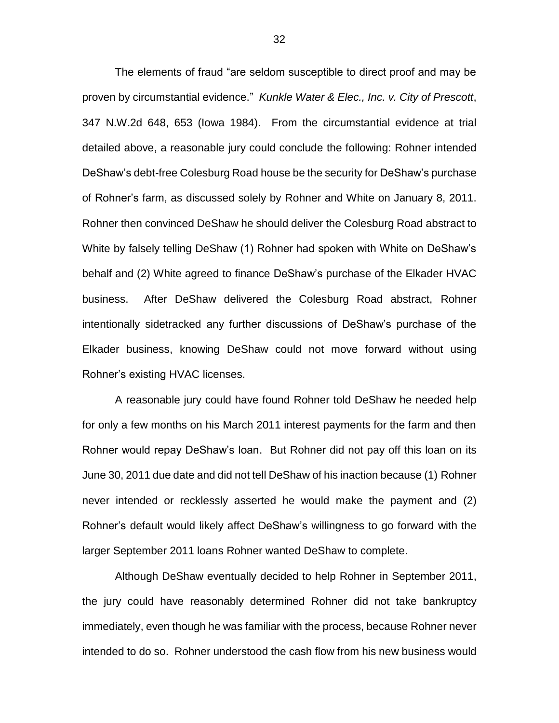The elements of fraud "are seldom susceptible to direct proof and may be proven by circumstantial evidence." *Kunkle Water & Elec., Inc. v. City of Prescott*, 347 N.W.2d 648, 653 (Iowa 1984). From the circumstantial evidence at trial detailed above, a reasonable jury could conclude the following: Rohner intended DeShaw's debt-free Colesburg Road house be the security for DeShaw's purchase of Rohner's farm, as discussed solely by Rohner and White on January 8, 2011. Rohner then convinced DeShaw he should deliver the Colesburg Road abstract to White by falsely telling DeShaw (1) Rohner had spoken with White on DeShaw's behalf and (2) White agreed to finance DeShaw's purchase of the Elkader HVAC business. After DeShaw delivered the Colesburg Road abstract, Rohner intentionally sidetracked any further discussions of DeShaw's purchase of the Elkader business, knowing DeShaw could not move forward without using Rohner's existing HVAC licenses.

A reasonable jury could have found Rohner told DeShaw he needed help for only a few months on his March 2011 interest payments for the farm and then Rohner would repay DeShaw's loan. But Rohner did not pay off this loan on its June 30, 2011 due date and did not tell DeShaw of his inaction because (1) Rohner never intended or recklessly asserted he would make the payment and (2) Rohner's default would likely affect DeShaw's willingness to go forward with the larger September 2011 loans Rohner wanted DeShaw to complete.

Although DeShaw eventually decided to help Rohner in September 2011, the jury could have reasonably determined Rohner did not take bankruptcy immediately, even though he was familiar with the process, because Rohner never intended to do so. Rohner understood the cash flow from his new business would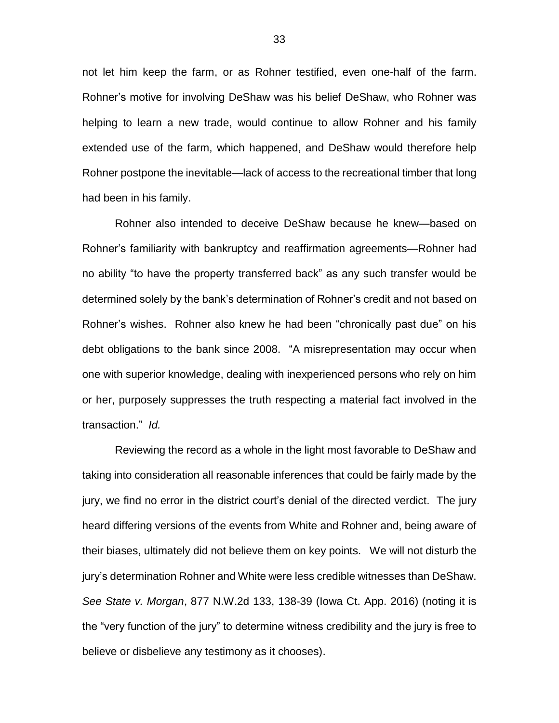not let him keep the farm, or as Rohner testified, even one-half of the farm. Rohner's motive for involving DeShaw was his belief DeShaw, who Rohner was helping to learn a new trade, would continue to allow Rohner and his family extended use of the farm, which happened, and DeShaw would therefore help Rohner postpone the inevitable—lack of access to the recreational timber that long had been in his family.

Rohner also intended to deceive DeShaw because he knew—based on Rohner's familiarity with bankruptcy and reaffirmation agreements—Rohner had no ability "to have the property transferred back" as any such transfer would be determined solely by the bank's determination of Rohner's credit and not based on Rohner's wishes. Rohner also knew he had been "chronically past due" on his debt obligations to the bank since 2008. "A misrepresentation may occur when one with superior knowledge, dealing with inexperienced persons who rely on him or her, purposely suppresses the truth respecting a material fact involved in the transaction." *Id.*

Reviewing the record as a whole in the light most favorable to DeShaw and taking into consideration all reasonable inferences that could be fairly made by the jury, we find no error in the district court's denial of the directed verdict. The jury heard differing versions of the events from White and Rohner and, being aware of their biases, ultimately did not believe them on key points. We will not disturb the jury's determination Rohner and White were less credible witnesses than DeShaw. *See State v. Morgan*, 877 N.W.2d 133, 138-39 (Iowa Ct. App. 2016) (noting it is the "very function of the jury" to determine witness credibility and the jury is free to believe or disbelieve any testimony as it chooses).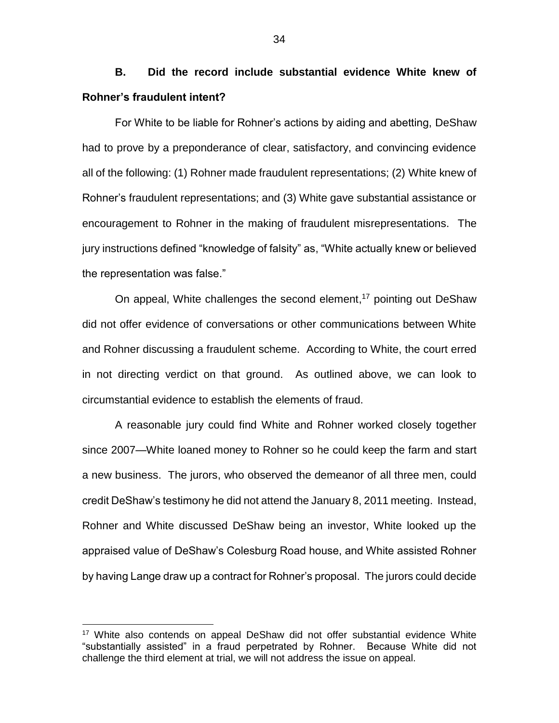**B. Did the record include substantial evidence White knew of Rohner's fraudulent intent?** 

For White to be liable for Rohner's actions by aiding and abetting, DeShaw had to prove by a preponderance of clear, satisfactory, and convincing evidence all of the following: (1) Rohner made fraudulent representations; (2) White knew of Rohner's fraudulent representations; and (3) White gave substantial assistance or encouragement to Rohner in the making of fraudulent misrepresentations. The jury instructions defined "knowledge of falsity" as, "White actually knew or believed the representation was false."

On appeal, White challenges the second element, <sup>17</sup> pointing out DeShaw did not offer evidence of conversations or other communications between White and Rohner discussing a fraudulent scheme. According to White, the court erred in not directing verdict on that ground. As outlined above, we can look to circumstantial evidence to establish the elements of fraud.

A reasonable jury could find White and Rohner worked closely together since 2007—White loaned money to Rohner so he could keep the farm and start a new business. The jurors, who observed the demeanor of all three men, could credit DeShaw's testimony he did not attend the January 8, 2011 meeting. Instead, Rohner and White discussed DeShaw being an investor, White looked up the appraised value of DeShaw's Colesburg Road house, and White assisted Rohner by having Lange draw up a contract for Rohner's proposal. The jurors could decide

<sup>&</sup>lt;sup>17</sup> White also contends on appeal DeShaw did not offer substantial evidence White "substantially assisted" in a fraud perpetrated by Rohner. Because White did not challenge the third element at trial, we will not address the issue on appeal.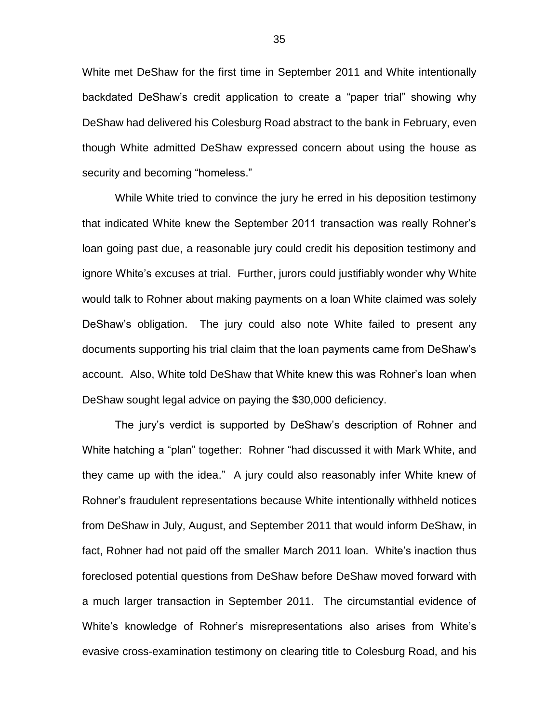White met DeShaw for the first time in September 2011 and White intentionally backdated DeShaw's credit application to create a "paper trial" showing why DeShaw had delivered his Colesburg Road abstract to the bank in February, even though White admitted DeShaw expressed concern about using the house as security and becoming "homeless."

While White tried to convince the jury he erred in his deposition testimony that indicated White knew the September 2011 transaction was really Rohner's loan going past due, a reasonable jury could credit his deposition testimony and ignore White's excuses at trial. Further, jurors could justifiably wonder why White would talk to Rohner about making payments on a loan White claimed was solely DeShaw's obligation. The jury could also note White failed to present any documents supporting his trial claim that the loan payments came from DeShaw's account. Also, White told DeShaw that White knew this was Rohner's loan when DeShaw sought legal advice on paying the \$30,000 deficiency.

The jury's verdict is supported by DeShaw's description of Rohner and White hatching a "plan" together: Rohner "had discussed it with Mark White, and they came up with the idea." A jury could also reasonably infer White knew of Rohner's fraudulent representations because White intentionally withheld notices from DeShaw in July, August, and September 2011 that would inform DeShaw, in fact, Rohner had not paid off the smaller March 2011 loan. White's inaction thus foreclosed potential questions from DeShaw before DeShaw moved forward with a much larger transaction in September 2011. The circumstantial evidence of White's knowledge of Rohner's misrepresentations also arises from White's evasive cross-examination testimony on clearing title to Colesburg Road, and his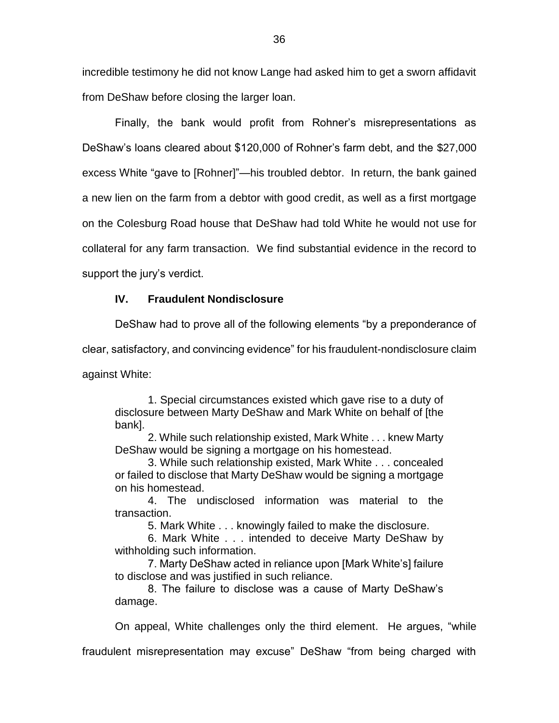incredible testimony he did not know Lange had asked him to get a sworn affidavit from DeShaw before closing the larger loan.

Finally, the bank would profit from Rohner's misrepresentations as DeShaw's loans cleared about \$120,000 of Rohner's farm debt, and the \$27,000 excess White "gave to [Rohner]"—his troubled debtor. In return, the bank gained a new lien on the farm from a debtor with good credit, as well as a first mortgage on the Colesburg Road house that DeShaw had told White he would not use for collateral for any farm transaction. We find substantial evidence in the record to support the jury's verdict.

# **IV. Fraudulent Nondisclosure**

DeShaw had to prove all of the following elements "by a preponderance of

clear, satisfactory, and convincing evidence" for his fraudulent-nondisclosure claim

against White:

1. Special circumstances existed which gave rise to a duty of disclosure between Marty DeShaw and Mark White on behalf of [the bank].

2. While such relationship existed, Mark White . . . knew Marty DeShaw would be signing a mortgage on his homestead.

3. While such relationship existed, Mark White . . . concealed or failed to disclose that Marty DeShaw would be signing a mortgage on his homestead.

4. The undisclosed information was material to the transaction.

5. Mark White . . . knowingly failed to make the disclosure.

6. Mark White . . . intended to deceive Marty DeShaw by withholding such information.

7. Marty DeShaw acted in reliance upon [Mark White's] failure to disclose and was justified in such reliance.

8. The failure to disclose was a cause of Marty DeShaw's damage.

On appeal, White challenges only the third element. He argues, "while

fraudulent misrepresentation may excuse" DeShaw "from being charged with